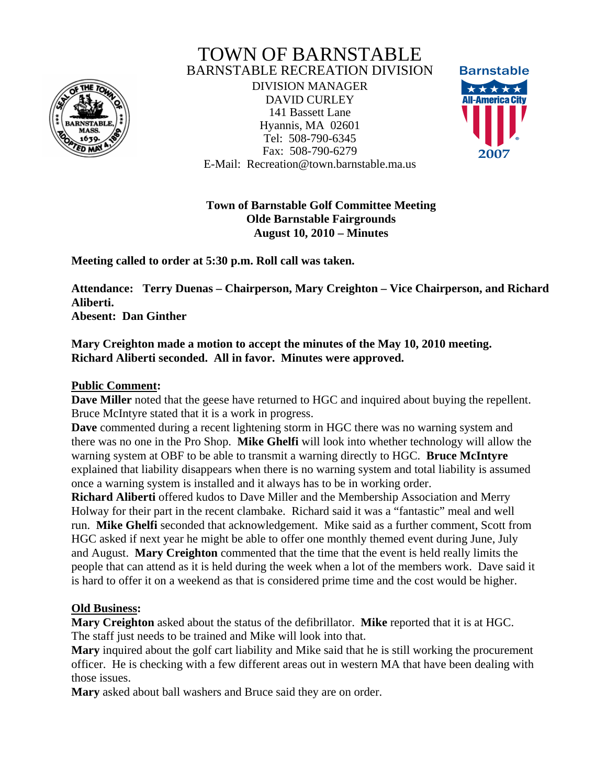

# TOWN OF BARNSTABLE BARNSTABLE RECREATION DIVISION

DIVISION MANAGER DAVID CURLEY 141 Bassett Lane Hyannis, MA 02601 Tel: 508-790-6345 Fax: 508-790-6279 E-Mail: Recreation@town.barnstable.ma.us



**Town of Barnstable Golf Committee Meeting Olde Barnstable Fairgrounds August 10, 2010 – Minutes** 

**Meeting called to order at 5:30 p.m. Roll call was taken.** 

**Attendance: Terry Duenas – Chairperson, Mary Creighton – Vice Chairperson, and Richard Aliberti.** 

**Abesent: Dan Ginther** 

## **Mary Creighton made a motion to accept the minutes of the May 10, 2010 meeting. Richard Aliberti seconded. All in favor. Minutes were approved.**

### **Public Comment:**

**Dave Miller** noted that the geese have returned to HGC and inquired about buying the repellent. Bruce McIntyre stated that it is a work in progress.

**Dave** commented during a recent lightening storm in HGC there was no warning system and there was no one in the Pro Shop. **Mike Ghelfi** will look into whether technology will allow the warning system at OBF to be able to transmit a warning directly to HGC. **Bruce McIntyre** explained that liability disappears when there is no warning system and total liability is assumed once a warning system is installed and it always has to be in working order.

**Richard Aliberti** offered kudos to Dave Miller and the Membership Association and Merry Holway for their part in the recent clambake. Richard said it was a "fantastic" meal and well run. **Mike Ghelfi** seconded that acknowledgement. Mike said as a further comment, Scott from HGC asked if next year he might be able to offer one monthly themed event during June, July and August. **Mary Creighton** commented that the time that the event is held really limits the people that can attend as it is held during the week when a lot of the members work. Dave said it is hard to offer it on a weekend as that is considered prime time and the cost would be higher.

#### **Old Business:**

**Mary Creighton** asked about the status of the defibrillator. **Mike** reported that it is at HGC. The staff just needs to be trained and Mike will look into that.

**Mary** inquired about the golf cart liability and Mike said that he is still working the procurement officer. He is checking with a few different areas out in western MA that have been dealing with those issues.

**Mary** asked about ball washers and Bruce said they are on order.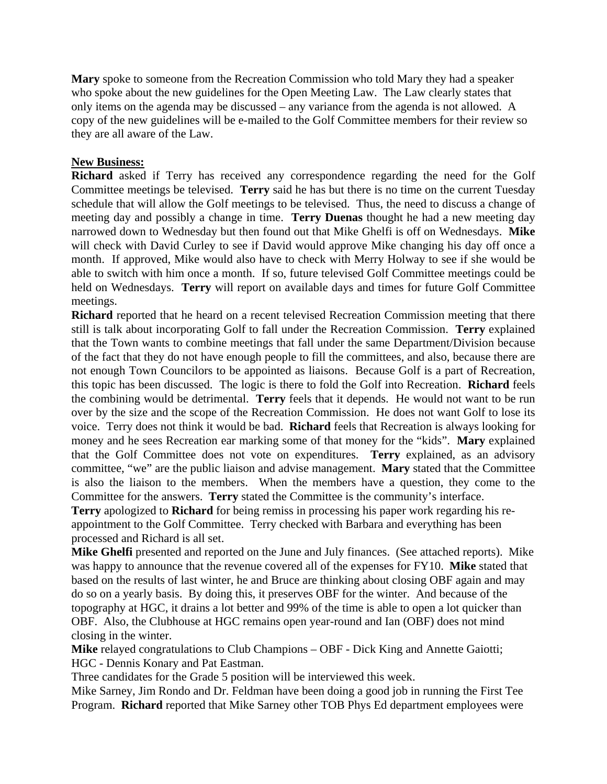**Mary** spoke to someone from the Recreation Commission who told Mary they had a speaker who spoke about the new guidelines for the Open Meeting Law. The Law clearly states that only items on the agenda may be discussed – any variance from the agenda is not allowed. A copy of the new guidelines will be e-mailed to the Golf Committee members for their review so they are all aware of the Law.

#### **New Business:**

**Richard** asked if Terry has received any correspondence regarding the need for the Golf Committee meetings be televised. **Terry** said he has but there is no time on the current Tuesday schedule that will allow the Golf meetings to be televised. Thus, the need to discuss a change of meeting day and possibly a change in time. **Terry Duenas** thought he had a new meeting day narrowed down to Wednesday but then found out that Mike Ghelfi is off on Wednesdays. **Mike**  will check with David Curley to see if David would approve Mike changing his day off once a month. If approved, Mike would also have to check with Merry Holway to see if she would be able to switch with him once a month. If so, future televised Golf Committee meetings could be held on Wednesdays. **Terry** will report on available days and times for future Golf Committee meetings.

**Richard** reported that he heard on a recent televised Recreation Commission meeting that there still is talk about incorporating Golf to fall under the Recreation Commission. **Terry** explained that the Town wants to combine meetings that fall under the same Department/Division because of the fact that they do not have enough people to fill the committees, and also, because there are not enough Town Councilors to be appointed as liaisons. Because Golf is a part of Recreation, this topic has been discussed. The logic is there to fold the Golf into Recreation. **Richard** feels the combining would be detrimental. **Terry** feels that it depends. He would not want to be run over by the size and the scope of the Recreation Commission. He does not want Golf to lose its voice. Terry does not think it would be bad. **Richard** feels that Recreation is always looking for money and he sees Recreation ear marking some of that money for the "kids". **Mary** explained that the Golf Committee does not vote on expenditures. **Terry** explained, as an advisory committee, "we" are the public liaison and advise management. **Mary** stated that the Committee is also the liaison to the members. When the members have a question, they come to the Committee for the answers. **Terry** stated the Committee is the community's interface.

**Terry** apologized to **Richard** for being remiss in processing his paper work regarding his reappointment to the Golf Committee. Terry checked with Barbara and everything has been processed and Richard is all set.

**Mike Ghelfi** presented and reported on the June and July finances. (See attached reports). Mike was happy to announce that the revenue covered all of the expenses for FY10. **Mike** stated that based on the results of last winter, he and Bruce are thinking about closing OBF again and may do so on a yearly basis. By doing this, it preserves OBF for the winter. And because of the topography at HGC, it drains a lot better and 99% of the time is able to open a lot quicker than OBF. Also, the Clubhouse at HGC remains open year-round and Ian (OBF) does not mind closing in the winter.

**Mike** relayed congratulations to Club Champions – OBF - Dick King and Annette Gaiotti; HGC - Dennis Konary and Pat Eastman.

Three candidates for the Grade 5 position will be interviewed this week.

Mike Sarney, Jim Rondo and Dr. Feldman have been doing a good job in running the First Tee Program. **Richard** reported that Mike Sarney other TOB Phys Ed department employees were